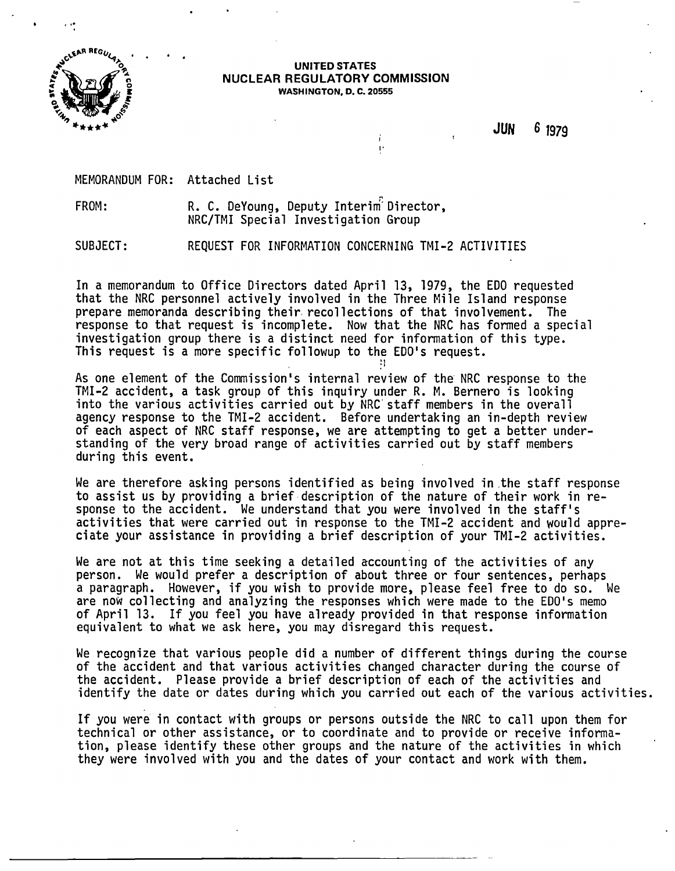

...

#### UNITED STATES NUCLEAR REGULATORY COMMISSION WASHINGTON, D. C. 20555

I'

Ť.

•j

JUN 6 1979

MEMORANDUM FOR: Attached List

FROM: R. C. DeYoung, Deputy Interim<sup>:</sup> Director. NRC/TMI Special Investigation Group

SUBJECT: REQUEST FOR INFORMATION CONCERNING TMI-2 ACTIVITIES

In a memorandum to Office Directors dated April 13, 1979, the EDO requested<br>that the NRC personnel actively involved in the Three Mile Island response prepare memoranda describing their recollections of that involvement. The<br>response to that request is incomplete. Now that the NRC has formed a special investigation group there is a distinct need for information of this type.<br>This request is a more specific followup to the EDO's request.

As one element of the Commission's internal review of the NRC response to the<br>TMI-2 accident, a task group of this inquiry under R. M. Bernero is looking into the various activities carried out by NRC staff members in the overall agency response to the TMI-2 accident. Before undertaking an in-depth review of each aspect of NRC staff response, we are attempting to get a better understanding of the very broad range of activities carried out by staff members during this event.

We are therefore asking persons identified as being involved in the staff response to assist us by providing a brief description of the nature of their work in response to the accident. We understand that you were involved in the staff's activities that were carried out in response to the TMI-2 accident and would appre-<br>ciate your assistance in providing a brief description of your TMI-2 activities.

We are not at this time seeking a detailed accounting of the activities of any person. We would prefer a description of about three or four sentences, perhaps a paragraph. However, if you wish to provide more, please feel free to do so. We are now collecting and analyzing the responses which were made to the EDO's memo of April 13. If you feel you have already provided in that response information equivalent to what we ask here, you may disregard this request.

We recognize that various people did a number of different things during the course of the accident and that various activities changed character during the course of the accident. Please provide a brief description of each of the activities and identify the date or dates during which you carried out each of the various activities.

If you were in contact with groups or persons outside the NRC to call upon them for technical or other assistance, or to coordinate and to provide or receive information, please identify these other groups and the nature of the activities in which they were involved with you and the dates of your contact and work with them.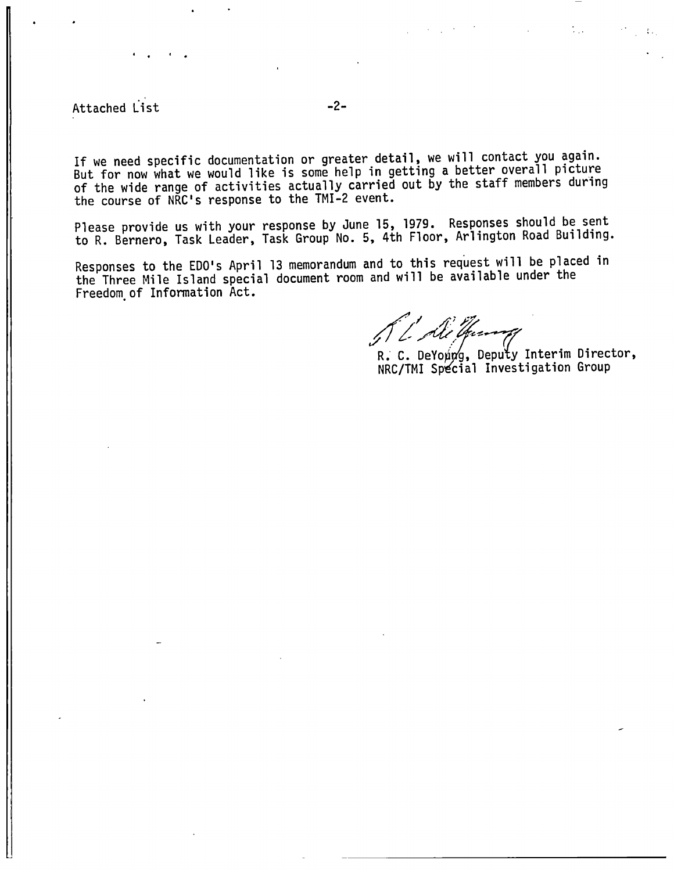Attached List -2-

..

If we need specific documentation or greater detail, we will contact you again.<br>But for now what we would like is some help in getting a better overall picture of the wide range of activities actually carried out by the staff members during<br>the course of NRC's response to the TMI-2 event.

Please provide us with your response by June 15, 1979. Responses should be sent to R. Bernero, Task Leader, Task Group No. 5, 4th Floor, Arlington Road Building.

Responses to the EDO's April 13 memorandum and to this request will be placed in the Three Mile Island special document room and will be available under the Freedom.of Information Act.

// / *Ali Guerray*<br>R. C. DeYoung, Deputy Interim Director,

NRC/TMI Special Investigation Group

 $\mathbb{F}_{\mathbb{Z}_p}$ 

 $\mathcal{L}_{\mathcal{A}}$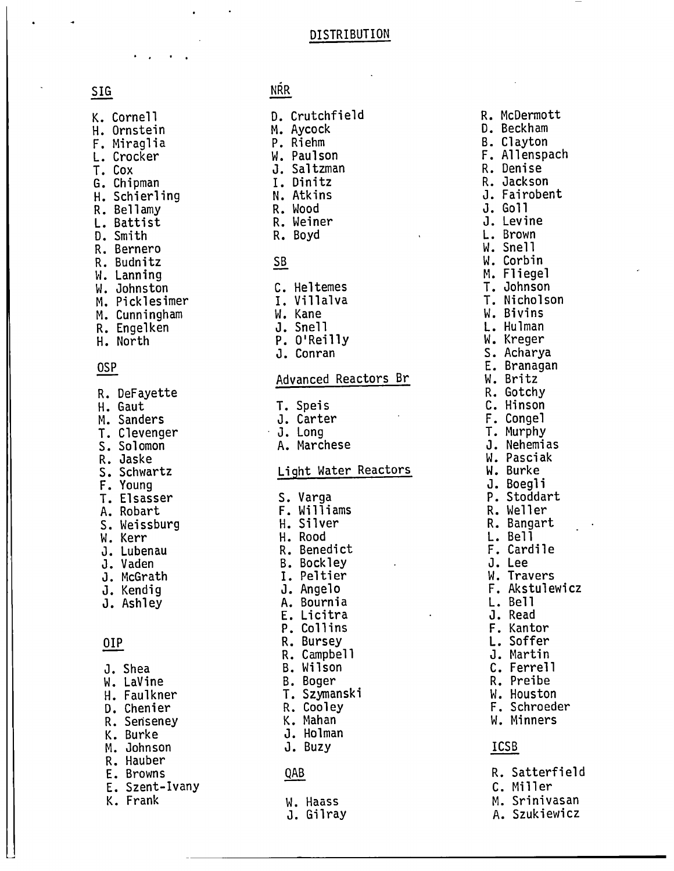#### DISTRIBUTION

| Κ.  | Cornell     |
|-----|-------------|
| Н.  | Ornstein    |
| F.  | Miraglia    |
| L.  | Crocker     |
| Т.  | Cox         |
| G.  | Chipman     |
| Н.  | Schierling  |
| R.  | Bellamy     |
| L.  | Battist     |
| D.  | Smith       |
| R.  | Bernero     |
| R.  | Budnitz     |
| W.  | Lanning     |
| W.  | Johnston    |
| Μ.  | Picklesimer |
| М.  | Cunningham  |
| R.  | Engelken    |
| Н.  | North       |
|     |             |
| 0SP |             |

. . . . . .  $\mathbb{E}\left[\mathbf{r}_i\right]$ 

| R.<br>Н.<br>Μ.<br>T.<br>S.<br>R.<br>S.<br>F.<br>T.<br>Α.<br>$\mathsf{S}_{\bullet}$<br>J. | DeFayette<br>Gaut<br>Sanders<br>Clevenger<br>Solomon<br>Jaske<br>Schwartz<br>Young<br>Elsasser<br>Robart<br>Weissburg<br>W. Kerr<br>Lubenau<br>J. Vaden<br>J. McGrath |
|------------------------------------------------------------------------------------------|-----------------------------------------------------------------------------------------------------------------------------------------------------------------------|
|                                                                                          | J. Kendig<br>J. Ashley                                                                                                                                                |
| OIP                                                                                      |                                                                                                                                                                       |
| W.<br>Н.<br>K.<br>E.<br>K.                                                               | J. Shea<br>LaVine<br>Faulkner<br>D. Chenier<br>R. Senseney<br><b>Burke</b><br>M. Johnson<br>R. Hauber<br>E. Browns<br>Szent-Ivany<br>Frank                            |

### SIG NRR

| D.<br>Р. | Crutchfield<br>M. Aycock<br>Riehm<br>W. Paulson<br>J. Saltzman<br>I. Dinitz<br>N. Atkins<br>R. Wood<br>R. Weiner<br>R. Boyd |    |
|----------|-----------------------------------------------------------------------------------------------------------------------------|----|
| SB       |                                                                                                                             |    |
| C.<br>J. | Heltemes<br>I. Villalva<br>W. Kane<br>J. Snell<br>P. O'Reilly<br>Conran                                                     |    |
|          | Advanced Reactors                                                                                                           | вr |

T. Speis<br>J. Carte<br>J. Long

| J. | Cartem |
|----|--------|

÷.

A. Marchese

#### Light Water Reactors

| s.<br>Varga<br>Williams<br>F.<br>Silver<br>Н.<br>Rood<br>Н.<br>Benedict<br>R.<br><b>Bockley</b><br>Β.<br>Peltier<br>I.<br>Angelo<br>J.<br>Bournia<br>Α.<br>Licitra<br>E.<br>P.<br>Collins<br>R.<br><b>Bursey</b><br>Campbel1<br>R.<br>Wilson<br>Β.<br>Boger<br>Β.<br>Szymanski<br>Τ.<br>Cooley<br>R.<br>Mahan<br>Κ.<br><b>Holman</b><br>J.<br>J.<br>Buzy |
|----------------------------------------------------------------------------------------------------------------------------------------------------------------------------------------------------------------------------------------------------------------------------------------------------------------------------------------------------------|
| QAB                                                                                                                                                                                                                                                                                                                                                      |
| Haass<br>W.<br>Gilray<br>J.                                                                                                                                                                                                                                                                                                                              |

R. McDermott D. Beckham B. Clayton F. Allenspach R. Denise R. Jackson J. Fairobent J. Go <sup>11</sup> J. Levine L. Brown W. Snell W. Corbin M. Fliegel T. Johnson T. Nicholson W. Bivins L. Hulman S. Acharya E. Branagan W. Britz<br>R. Gotchy C. Hinson<br>F. Congel T. Murphy<br>J. Nehemias W. Pasciak W. Burke<br>J. Boegli P. Stoddart R. Weller R. Bangart L. Bell F. Cardile J. Lee W. Travers F. Akstulewicz L. Bell J. Read F. Kantor L. Soffer J. Martin C. Ferrell R. Preibe W. Houston F. Schroeder W. Minners ICSB R. Satterfield C. Miller M. Srinivasan

- A. Szukiewicz
-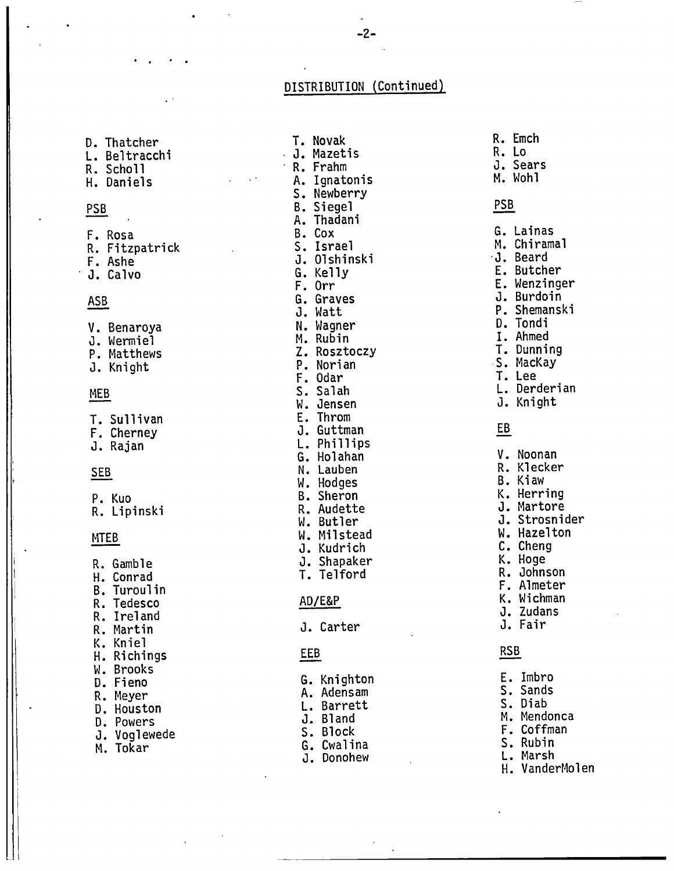#### DISTRIBUTION (Continued)

D. Thatcher T. Novak R. Emcn<br>
L. Beltracchi J. Mazetis R. Lo<br>
R. Scholl Sears R. Frahm J. Sears r. Bertracch.<br>R. Scholl B. Frahm J. Sears H. Daniels A. Ignatonis M. Wohl PSB B. Siegel PSB R. Fitzpatrick s. Israel M. Chiramal F. Ashe J. Olshinski ·J • Beard . J. Calvo G. Kelly E. Butcher T. Sullivan<br>F. Cherney <sup>I</sup>R. Gamble J. Shapaker K. Hoge , I H. Conrad T. Telford R. Johnson en de la compagne de la compagne de la compagne de la compagne de la compagne de la compagne de la compagne de<br>En la compagne de la compagne de la compagne de la compagne de la compagne de la compagne de la compagne de la K. Kniel W. Brooks<br>D. Fieno D. Fiene G. Knighton E. Im bro D. Fieno<br>R. Meyer A. Adensam S. Sands<br>A. Adensam S. Sands R. Meyer<br>D. Houston L. Barrett S. Diab<br>D. Houston L. Barrett S. Diab D. Nouscon<br>D. Powers G. Bland M. Mendonca u. Powers<br>J. Voglewede s. Block S. Block F. Coffman M. Tokar G. Cwalina s. Rubin

. .

D. Thatcher T. Novak R. Emch s. Newberry A. Thadani F. Rosa B. Cox G. Lain as F. Orr E. Wenzinger ASB G. Graves J. Burdo in J. Watt P. Shemanski v. Benaroya N. Wagner D. Tandi J. Wermiel M. Rubin I. Ahmed e: Matthews 2. Rosztoczy T. Dunning<br>
2. Rosztoczy T. Dunning<br>
2. Rosztoczy T. Dunning<br>
2. Rosztoczy T. Dunning<br>
2. Rosztoczy T. Dunning P. Matthews (1998) 2. Nosztoczy (1998) S. MacKay<br>J. Knight (1998) P. Norian (1998) S. MacKay F. Odar T. Lee<br>S. Salah L. Der MEB S. Salah S. Salah (Rederian L. Derderian M. Jensen N. J. Knight W. Jensen J. Knight<br>E. Throm The Cherney Theorem J. Guttman Communications of the Communications of the Communications of the Communication<br>
The Cherney Theorem Communications of the Communications of the Communications of the Communications of the C<br> J. Rajan L. Phillips G. Holahan v. Noonan SEB N. Lauben R. Klecker W. Hodges B. Kiaw<br>
B. Sheron M. Herring P. Kuo B. Sheron K. Herring r. Kub<br>R. Lipinski Marta R. Audette M. J. Martore W. Butler J. Strosnider MTEB W. Milstead W. Milstead W. Hazelton W. Hazelton W. Hazelton W. Hazelton W. Hazelton W. Hazelton W. Hazelton W. Hazelton M. Schemen W. Hazelton M. Hazelton M. Hazelton M. Hazelton M. Hazelton M. Hazelton M. Hazelton M. J. Kudrich c. Cheng P. Tedesco AD/E&P K. Wichman K. Wichman K. AD/E&P K. Wichman K. Wichman K. Wichman K. All All All All All All A R. Tenesco<br>R. Ireland J. Zudans R. Martin J. Carter J. Fair H. Richings **EEB EEB** RSB

- 
- 
- 
- 
- 
- J. Dono hew L. Marsh
	-
	- H. VanderMolen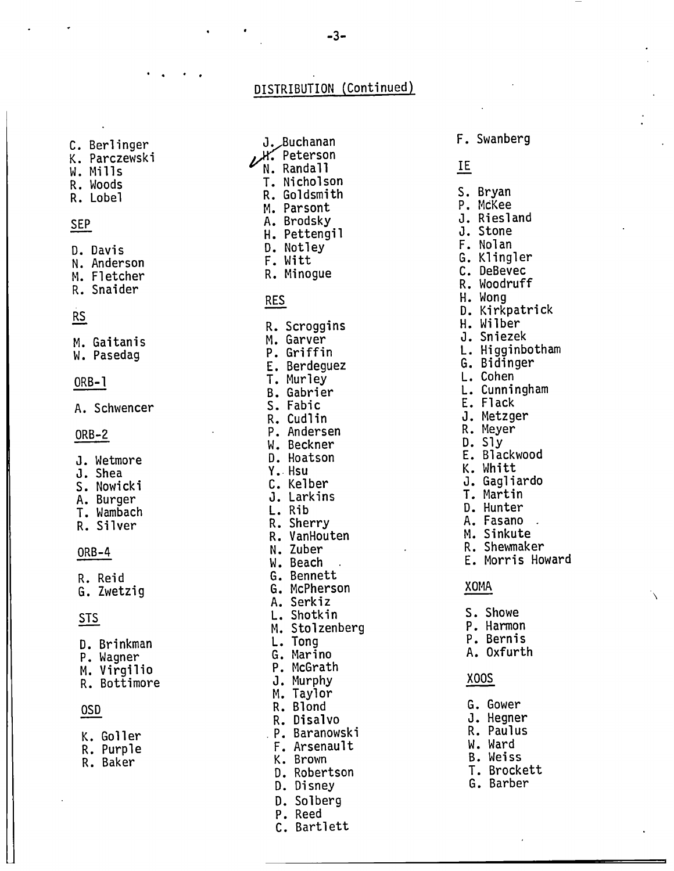C. Berlinger<br>K. Parczewski

. . . .

- 
- W. Mills
- R. Woods
- R. Lobel

#### SEP

- D. Davis N. Anderson
- M. Fletcher
- R. Snaider

### RS

M. Gaitani s W. Pasedag

#### $ORB-1$

A. Schwencer

#### ORB-2

- J. Wetmore
- J. Shea
- S. Nowicki<br>A. Burger
- T. Wambach
- R. Silver

#### ORB-4

R. Reid G. Zwetzig

### STS

- D. Brinkman<br>P. Wagner
- M. Virgilio
- R. Bottimore

### OSD

- K. Goll er
- R. Purple R. Baker
- 

J. Buchanan<br>L. Peterson N. Randall T. Nicholson R. Goldsmith M. Parsont<br>A. Brodsky H. Pettengil<br>D. Notley<br>F. Witt R. Minogue RES R. Scroggins M. Garver P. Griffin E. Berdeguez<br>T. Murley<br>B. Gabrier S. Fabic R. Cudlin P. Andersen W. Beckner D. Hoatson Y •. Hsu C. Kelber J. Larkins L. Rib<br>R. Sherry R. VanHouten N. Zuber W. Beach G. Bennett G. McPherson A. Serkiz L. Shotkin M. Stolzenberg L. Tong G. Marino P. McGrath<br>J. Murphy M. Taylor<br>R. Blond<br>R. Disalvo . P. Baranowski F. Arsenault K. Brown D. Robertson D. Disney D. Solberg P. Reed

C. Bartlett

F. Swanberg IE S. Bryan<br>P. McKee J. Riesland J. Stone F. Nolan G. Klingler C. DeBevec R. Woodruff<br>H. Wong D. Kirkpatrick<br>H. Wilber J. Sniezek L. Higginbotham<br>G. Bidinger<br>L. Cohen L. Cunningham

- E. Flack
- 
- J. Metzger<br>R. Meyer<br>D. Sly
- 
- E. Blackwood
- K. Whitt
- J. Gagliardo T. Martin
- 
- D. Hunter
- M. Sinkute
- R. Shewmaker
- E. Morris Howard

#### XOMA

- S. Showe P. Harmon P. Bernis A. Oxfurth xoos G. Gower
- J. Hegner<br>R. Paulus
- W. Ward
- B. Weiss
- T. Brockett
- G. Barber

# DISTRIBUTION (Continued)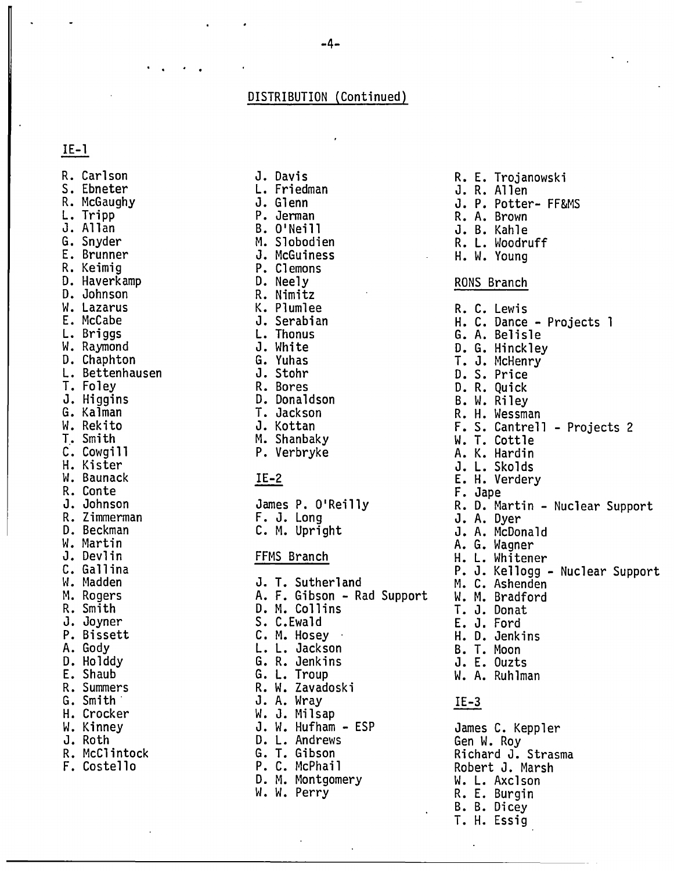#### DISTRIBUTION (Continued)

#### IE-1

R. Carlson S. Ebneter<br>R. McGaughy L. Tripp<br>J. Allan<br>G. Snyder E. Brunner<br>R. Keimig D. Haverkamp<br>D. Johnson W. Lazarus E. McCabe W. Raymond<br>D. Chaphton<br>L. Bettenhausen<br>T. Foley J. Higgins<br>G. Kalman W. Rekito T. Smith C. Cowgill H. Kister W. Baunack R. Conte J. Johnson R. Zimmerman D. Beckman W. Martin J. Devlin C. Gallina W. Madden M. Rogers R. Smith J. Joyner P. Bissett D. Holddy<br>E. Shaub R. Summers G. Smith. H. Crocker W. Kinney<br>J. Roth R. McClintock F. Costello

J. Glenn P. Jerman B. O'Neill M. Slobodien J. McGuiness P. Clemons D. Neely R. Nimitz K. Plumlee J. Serabian L. Thonus J. White G. Yuhas J. Stohr R. Bores D. Donaldson T. Jackson J. Kottan<br>M. Shanbaky P. Verbryke

J. Davis L. Friedman

#### IE-2

James P. O'Reilly<br>F. J. Long<br>C. M. Upright

#### FFMS Branch

J. T. Sutherland A. F. Gibson - Rad Support D. M. Collins S. C.Ewald C. M. Hosey · L. L. Jackson G. R. Jenkins<br>G. L. Troup R. W. Zavadoski<br>J. A. Wray W. J. Milsap<br>J. W. Hufham - ESP D. L. Andrews G. T. Gibson P. C. McPhail D. M. Montgomery W. W. Perry

R. E. Trojanowski J. R. Allen J. P. Potter- FF&MS R. A. Brown J. B. Kahle R. L. Woodruff H. W. Young RONS Branch R. C. Lewis H. C. Dance - Projects l G. A. Belisle<br>D. G. Hinckley T. J. McHenry<br>D. S. Price D. R. Quick R. H. Wessman F. S. Cantrell - Projects 2 W. T. Cottle A. K. Hardin J. L. Skolds<br>E. H. Verdery E. H. Verdery<br>F. Jape R. D. Martin - Nuclear Support<br>J. A. Dyer<br>J. A. McDonald A. G. Wagner H. L. Whitener P. J. Kellogg - Nuclear Support M. C. Ashenden W. M. Bradford T. J. Donat E. J. Ford H. D. Jenkins B. T. Moon J. E. Ouzts W. A. Ruhlman IE-3 James C. Keppler Gen W. Roy Richard J. Strasma Robert J. Marsh

W. L. Axelson R. E. Burgin B. B. Dicey T. H. Essig